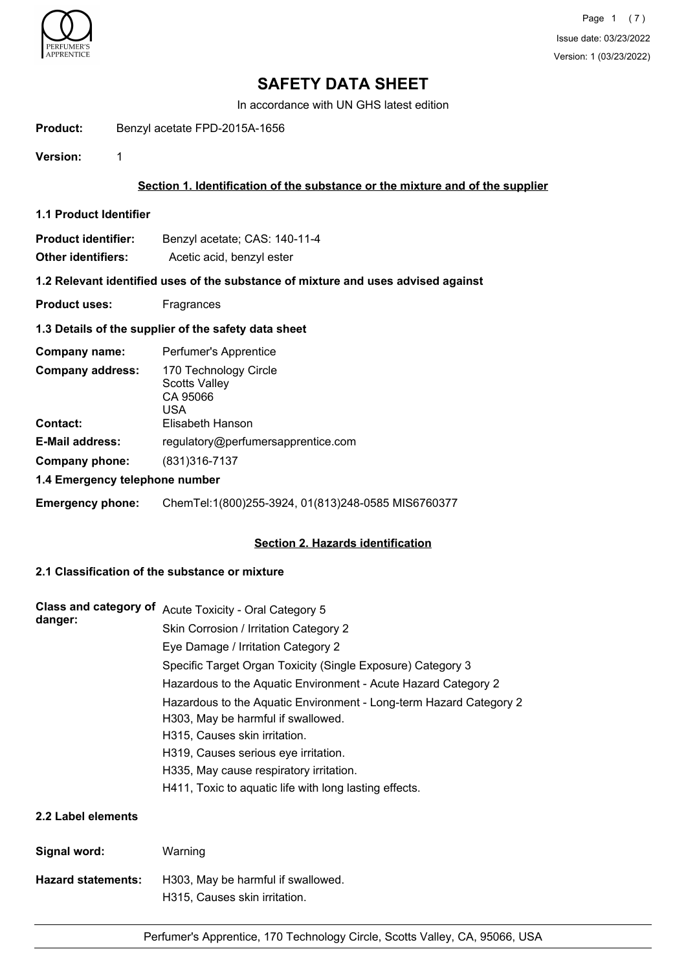

# **SAFETY DATA SHEET**

In accordance with UN GHS latest edition

**Product:** Benzyl acetate FPD-2015A-1656

**Version:** 1

# **Section 1. Identification of the substance or the mixture and of the supplier**

**1.1 Product Identifier**

| Product identifier: | Benzyl acetate; CAS: 140-11-4 |
|---------------------|-------------------------------|
|                     |                               |

**Other identifiers:** Acetic acid, benzyl ester

# **1.2 Relevant identified uses of the substance of mixture and uses advised against**

**Product uses:** Fragrances

## **1.3 Details of the supplier of the safety data sheet**

| Company name:                  | Perfumer's Apprentice                                            |  |
|--------------------------------|------------------------------------------------------------------|--|
| <b>Company address:</b>        | 170 Technology Circle<br><b>Scotts Valley</b><br>CA 95066<br>USA |  |
| <b>Contact:</b>                | Elisabeth Hanson                                                 |  |
| <b>E-Mail address:</b>         | regulatory@perfumersapprentice.com                               |  |
| Company phone:                 | (831) 316-7137                                                   |  |
| 1.4 Emergency telephone number |                                                                  |  |

**Emergency phone:** ChemTel:1(800)255-3924, 01(813)248-0585 MIS6760377

## **Section 2. Hazards identification**

# **2.1 Classification of the substance or mixture**

| Class and category of     | Acute Toxicity - Oral Category 5                                                                         |  |  |
|---------------------------|----------------------------------------------------------------------------------------------------------|--|--|
| danger:                   | Skin Corrosion / Irritation Category 2                                                                   |  |  |
|                           | Eye Damage / Irritation Category 2                                                                       |  |  |
|                           | Specific Target Organ Toxicity (Single Exposure) Category 3                                              |  |  |
|                           | Hazardous to the Aquatic Environment - Acute Hazard Category 2                                           |  |  |
|                           | Hazardous to the Aquatic Environment - Long-term Hazard Category 2<br>H303, May be harmful if swallowed. |  |  |
|                           | H315, Causes skin irritation.                                                                            |  |  |
|                           | H319, Causes serious eye irritation.                                                                     |  |  |
|                           | H335, May cause respiratory irritation.                                                                  |  |  |
|                           | H411, Toxic to aquatic life with long lasting effects.                                                   |  |  |
| 2.2 Label elements        |                                                                                                          |  |  |
| Signal word:              | Warning                                                                                                  |  |  |
| <b>Hazard statements:</b> | H303, May be harmful if swallowed.                                                                       |  |  |

H315, Causes skin irritation.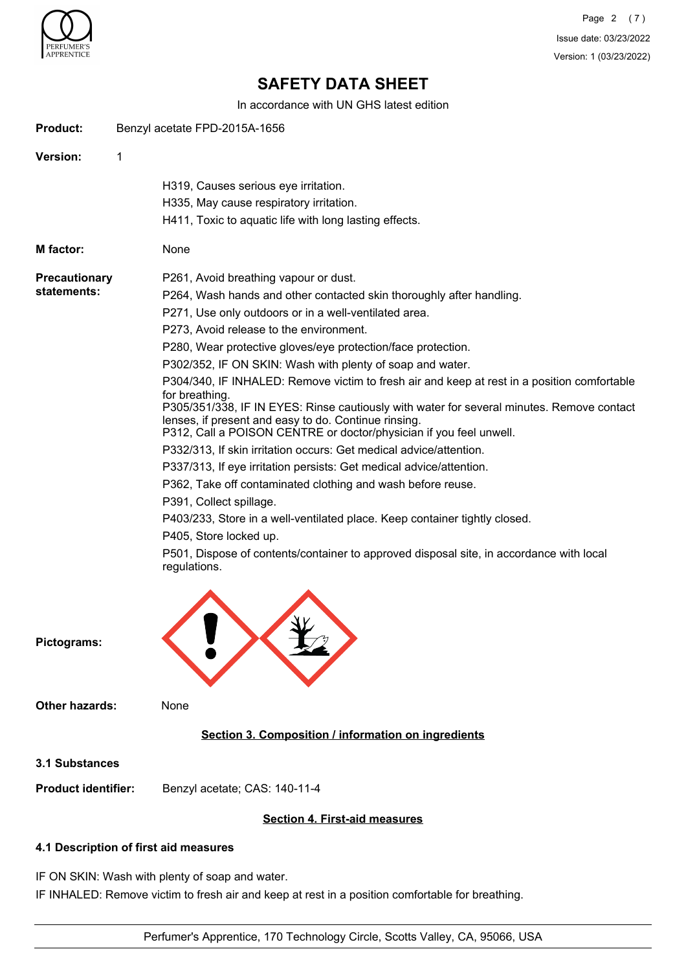

Page 2 (7) Issue date: 03/23/2022 Version: 1 (03/23/2022)

# **SAFETY DATA SHEET**

In accordance with UN GHS latest edition

|                            | IN accordance with ON GHS latest edition                                                                                   |  |
|----------------------------|----------------------------------------------------------------------------------------------------------------------------|--|
| <b>Product:</b>            | Benzyl acetate FPD-2015A-1656                                                                                              |  |
| Version:                   | 1                                                                                                                          |  |
|                            | H319, Causes serious eye irritation.                                                                                       |  |
|                            | H335, May cause respiratory irritation.                                                                                    |  |
|                            | H411, Toxic to aquatic life with long lasting effects.                                                                     |  |
| M factor:                  | None                                                                                                                       |  |
| <b>Precautionary</b>       | P261, Avoid breathing vapour or dust.                                                                                      |  |
| statements:                | P264, Wash hands and other contacted skin thoroughly after handling.                                                       |  |
|                            | P271, Use only outdoors or in a well-ventilated area.                                                                      |  |
|                            | P273, Avoid release to the environment.                                                                                    |  |
|                            | P280, Wear protective gloves/eye protection/face protection.                                                               |  |
|                            | P302/352, IF ON SKIN: Wash with plenty of soap and water.                                                                  |  |
|                            | P304/340, IF INHALED: Remove victim to fresh air and keep at rest in a position comfortable                                |  |
|                            | for breathing.                                                                                                             |  |
|                            | P305/351/338, IF IN EYES: Rinse cautiously with water for several minutes. Remove contact                                  |  |
|                            | lenses, if present and easy to do. Continue rinsing.<br>P312, Call a POISON CENTRE or doctor/physician if you feel unwell. |  |
|                            | P332/313, If skin irritation occurs: Get medical advice/attention.                                                         |  |
|                            | P337/313, If eye irritation persists: Get medical advice/attention.                                                        |  |
|                            | P362, Take off contaminated clothing and wash before reuse.                                                                |  |
|                            | P391, Collect spillage.                                                                                                    |  |
|                            | P403/233, Store in a well-ventilated place. Keep container tightly closed.                                                 |  |
|                            | P405, Store locked up.                                                                                                     |  |
|                            | P501, Dispose of contents/container to approved disposal site, in accordance with local<br>regulations.                    |  |
| Pictograms:                |                                                                                                                            |  |
| <b>Other hazards:</b>      | None                                                                                                                       |  |
|                            | Section 3. Composition / information on ingredients                                                                        |  |
| 3.1 Substances             |                                                                                                                            |  |
| <b>Product identifier:</b> | Benzyl acetate; CAS: 140-11-4                                                                                              |  |
|                            | <b>Section 4. First-aid measures</b>                                                                                       |  |
|                            | 4.1 Description of first aid measures                                                                                      |  |

IF ON SKIN: Wash with plenty of soap and water.

IF INHALED: Remove victim to fresh air and keep at rest in a position comfortable for breathing.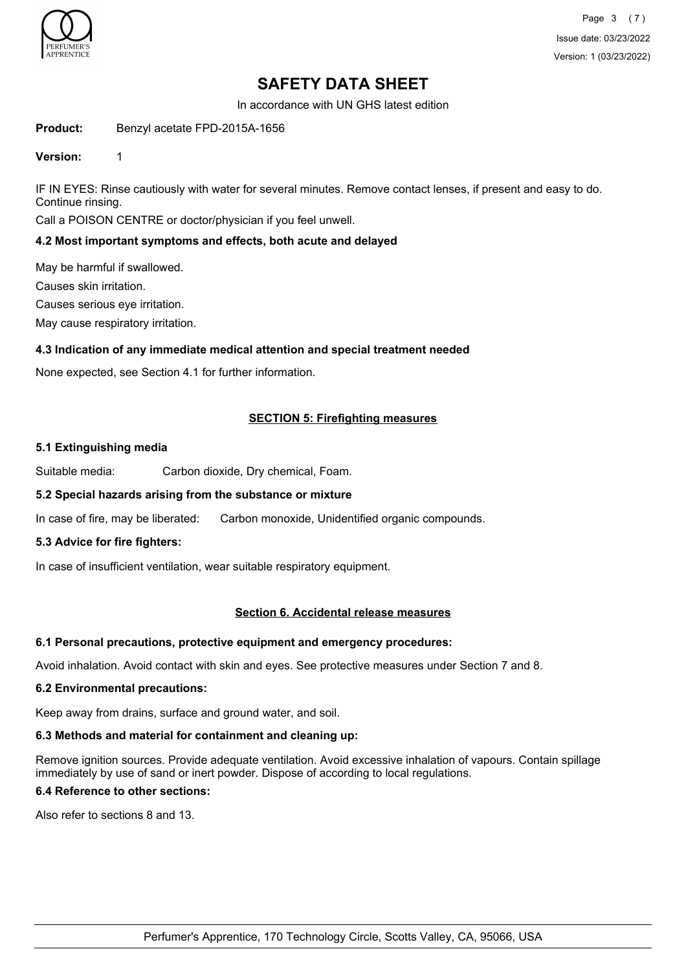

# **SAFETY DATA SHEET**

In accordance with UN GHS latest edition

**Product:** Benzyl acetate FPD-2015A-1656

#### **Version:** 1

IF IN EYES: Rinse cautiously with water for several minutes. Remove contact lenses, if present and easy to do. Continue rinsing.

Call a POISON CENTRE or doctor/physician if you feel unwell.

#### **4.2 Most important symptoms and effects, both acute and delayed**

May be harmful if swallowed.

Causes skin irritation.

Causes serious eye irritation.

May cause respiratory irritation.

## **4.3 Indication of any immediate medical attention and special treatment needed**

None expected, see Section 4.1 for further information.

## **SECTION 5: Firefighting measures**

#### **5.1 Extinguishing media**

Suitable media: Carbon dioxide, Dry chemical, Foam.

## **5.2 Special hazards arising from the substance or mixture**

In case of fire, may be liberated: Carbon monoxide, Unidentified organic compounds.

## **5.3 Advice for fire fighters:**

In case of insufficient ventilation, wear suitable respiratory equipment.

## **Section 6. Accidental release measures**

## **6.1 Personal precautions, protective equipment and emergency procedures:**

Avoid inhalation. Avoid contact with skin and eyes. See protective measures under Section 7 and 8.

#### **6.2 Environmental precautions:**

Keep away from drains, surface and ground water, and soil.

# **6.3 Methods and material for containment and cleaning up:**

Remove ignition sources. Provide adequate ventilation. Avoid excessive inhalation of vapours. Contain spillage immediately by use of sand or inert powder. Dispose of according to local regulations.

# **6.4 Reference to other sections:**

Also refer to sections 8 and 13.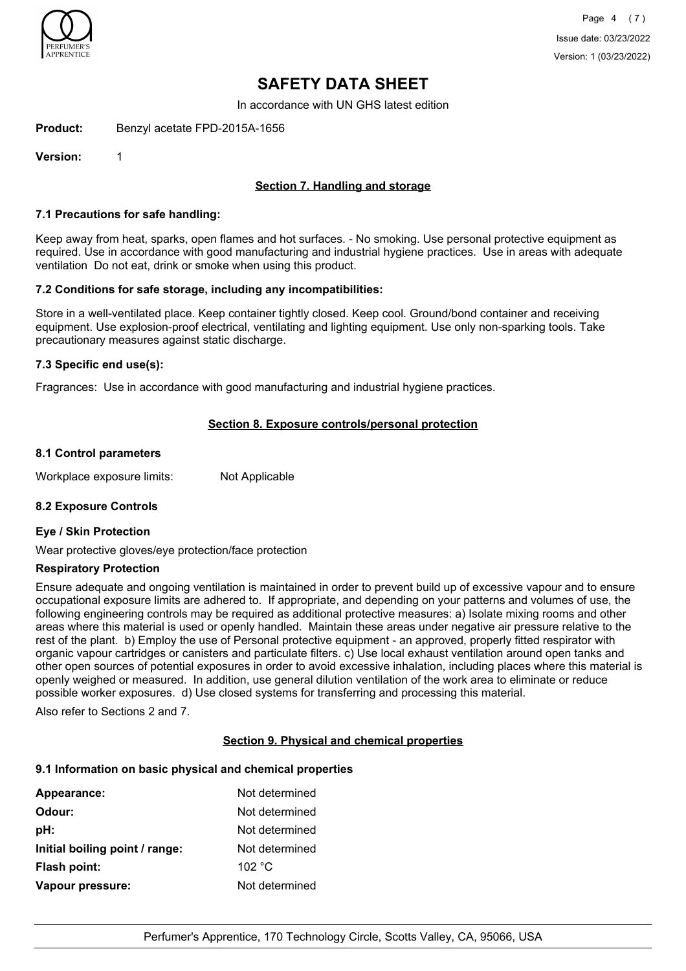

# **SAFETY DATA SHEET**

In accordance with UN GHS latest edition

**Product:** Benzyl acetate FPD-2015A-1656

**Version:** 1

# **Section 7. Handling and storage**

## **7.1 Precautions for safe handling:**

Keep away from heat, sparks, open flames and hot surfaces. - No smoking. Use personal protective equipment as required. Use in accordance with good manufacturing and industrial hygiene practices. Use in areas with adequate ventilation Do not eat, drink or smoke when using this product.

#### **7.2 Conditions for safe storage, including any incompatibilities:**

Store in a well-ventilated place. Keep container tightly closed. Keep cool. Ground/bond container and receiving equipment. Use explosion-proof electrical, ventilating and lighting equipment. Use only non-sparking tools. Take precautionary measures against static discharge.

#### **7.3 Specific end use(s):**

Fragrances: Use in accordance with good manufacturing and industrial hygiene practices.

## **Section 8. Exposure controls/personal protection**

#### **8.1 Control parameters**

Workplace exposure limits: Not Applicable

## **8.2 Exposure Controls**

#### **Eye / Skin Protection**

Wear protective gloves/eye protection/face protection

#### **Respiratory Protection**

Ensure adequate and ongoing ventilation is maintained in order to prevent build up of excessive vapour and to ensure occupational exposure limits are adhered to. If appropriate, and depending on your patterns and volumes of use, the following engineering controls may be required as additional protective measures: a) Isolate mixing rooms and other areas where this material is used or openly handled. Maintain these areas under negative air pressure relative to the rest of the plant. b) Employ the use of Personal protective equipment - an approved, properly fitted respirator with organic vapour cartridges or canisters and particulate filters. c) Use local exhaust ventilation around open tanks and other open sources of potential exposures in order to avoid excessive inhalation, including places where this material is openly weighed or measured. In addition, use general dilution ventilation of the work area to eliminate or reduce possible worker exposures. d) Use closed systems for transferring and processing this material.

Also refer to Sections 2 and 7.

## **Section 9. Physical and chemical properties**

# **9.1 Information on basic physical and chemical properties**

| <b>Appearance:</b>             | Not determined |
|--------------------------------|----------------|
| Odour:                         | Not determined |
| pH:                            | Not determined |
| Initial boiling point / range: | Not determined |
| Flash point:                   | 102 °C         |
| Vapour pressure:               | Not determined |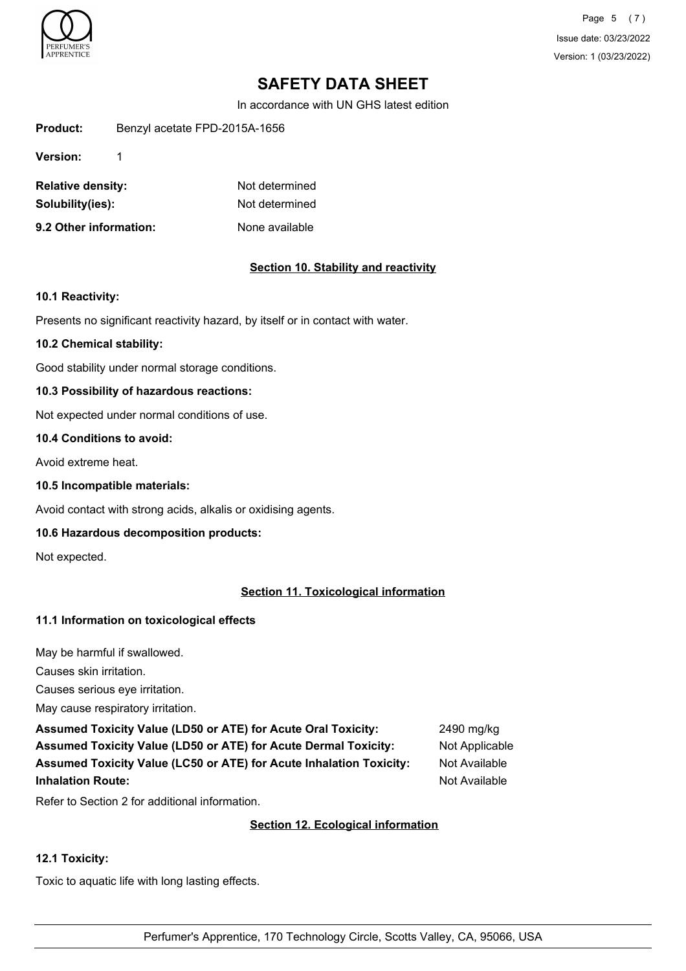

Page 5 (7) Issue date: 03/23/2022 Version: 1 (03/23/2022)

# **SAFETY DATA SHEET**

In accordance with UN GHS latest edition

**Product:** Benzyl acetate FPD-2015A-1656

**Version:** 1

| <b>Relative density:</b> | Not determined |
|--------------------------|----------------|
| Solubility(ies):         | Not determined |
| 9.2 Other information:   | None available |

# **Section 10. Stability and reactivity**

#### **10.1 Reactivity:**

Presents no significant reactivity hazard, by itself or in contact with water.

#### **10.2 Chemical stability:**

Good stability under normal storage conditions.

## **10.3 Possibility of hazardous reactions:**

Not expected under normal conditions of use.

#### **10.4 Conditions to avoid:**

Avoid extreme heat.

#### **10.5 Incompatible materials:**

Avoid contact with strong acids, alkalis or oxidising agents.

## **10.6 Hazardous decomposition products:**

Not expected.

# **Section 11. Toxicological information**

## **11.1 Information on toxicological effects**

May be harmful if swallowed.

Causes skin irritation.

Causes serious eye irritation.

May cause respiratory irritation.

**Assumed Toxicity Value (LD50 or ATE) for Acute Oral Toxicity:** 2490 mg/kg Assumed Toxicity Value (LD50 or ATE) for Acute Dermal Toxicity: Not Applicable **Assumed Toxicity Value (LC50 or ATE) for Acute Inhalation Toxicity:** Not Available **Inhalation Route:** Not Available

Refer to Section 2 for additional information.

## **Section 12. Ecological information**

## **12.1 Toxicity:**

Toxic to aquatic life with long lasting effects.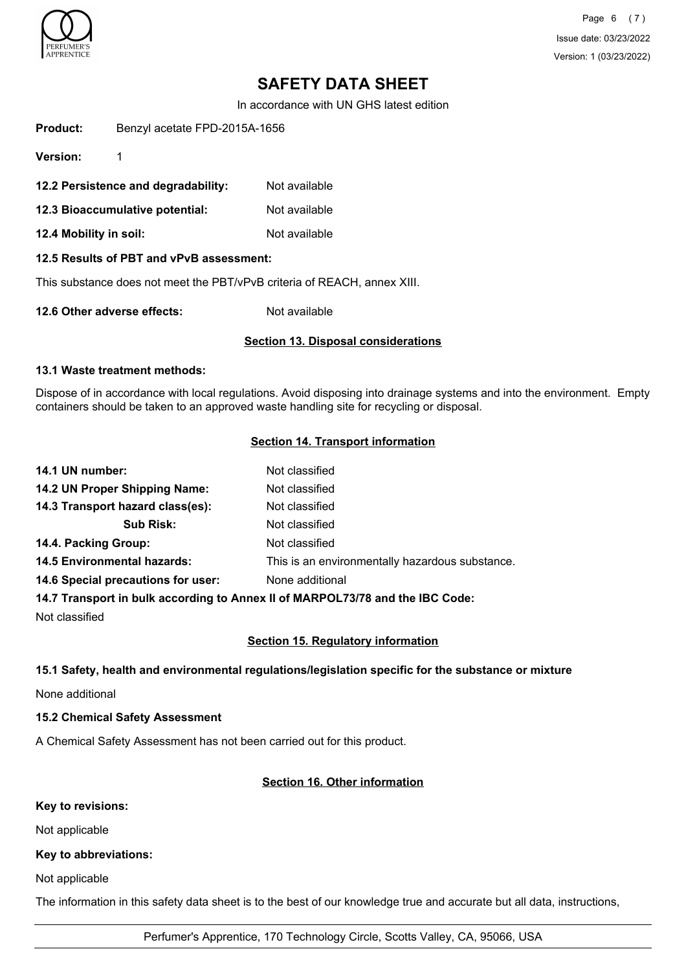

Page 6 (7) Issue date: 03/23/2022 Version: 1 (03/23/2022)

# **SAFETY DATA SHEET**

In accordance with UN GHS latest edition

**Product:** Benzyl acetate FPD-2015A-1656

**Version:** 1

- **12.2 Persistence and degradability:** Not available
- **12.3 Bioaccumulative potential:** Not available
- **12.4 Mobility in soil:** Not available

## **12.5 Results of PBT and vPvB assessment:**

This substance does not meet the PBT/vPvB criteria of REACH, annex XIII.

**12.6 Other adverse effects:** Not available

#### **Section 13. Disposal considerations**

#### **13.1 Waste treatment methods:**

Dispose of in accordance with local regulations. Avoid disposing into drainage systems and into the environment. Empty containers should be taken to an approved waste handling site for recycling or disposal.

## **Section 14. Transport information**

| 14.1 UN number:                    | Not classified                                                                |
|------------------------------------|-------------------------------------------------------------------------------|
| 14.2 UN Proper Shipping Name:      | Not classified                                                                |
| 14.3 Transport hazard class(es):   | Not classified                                                                |
| <b>Sub Risk:</b>                   | Not classified                                                                |
| 14.4. Packing Group:               | Not classified                                                                |
| <b>14.5 Environmental hazards:</b> | This is an environmentally hazardous substance.                               |
| 14.6 Special precautions for user: | None additional                                                               |
|                                    | 14.7 Transport in bulk according to Annex II of MARPOL73/78 and the IBC Code: |

Not classified

## **Section 15. Regulatory information**

## **15.1 Safety, health and environmental regulations/legislation specific for the substance or mixture**

None additional

## **15.2 Chemical Safety Assessment**

A Chemical Safety Assessment has not been carried out for this product.

## **Section 16. Other information**

#### **Key to revisions:**

Not applicable

## **Key to abbreviations:**

Not applicable

The information in this safety data sheet is to the best of our knowledge true and accurate but all data, instructions,